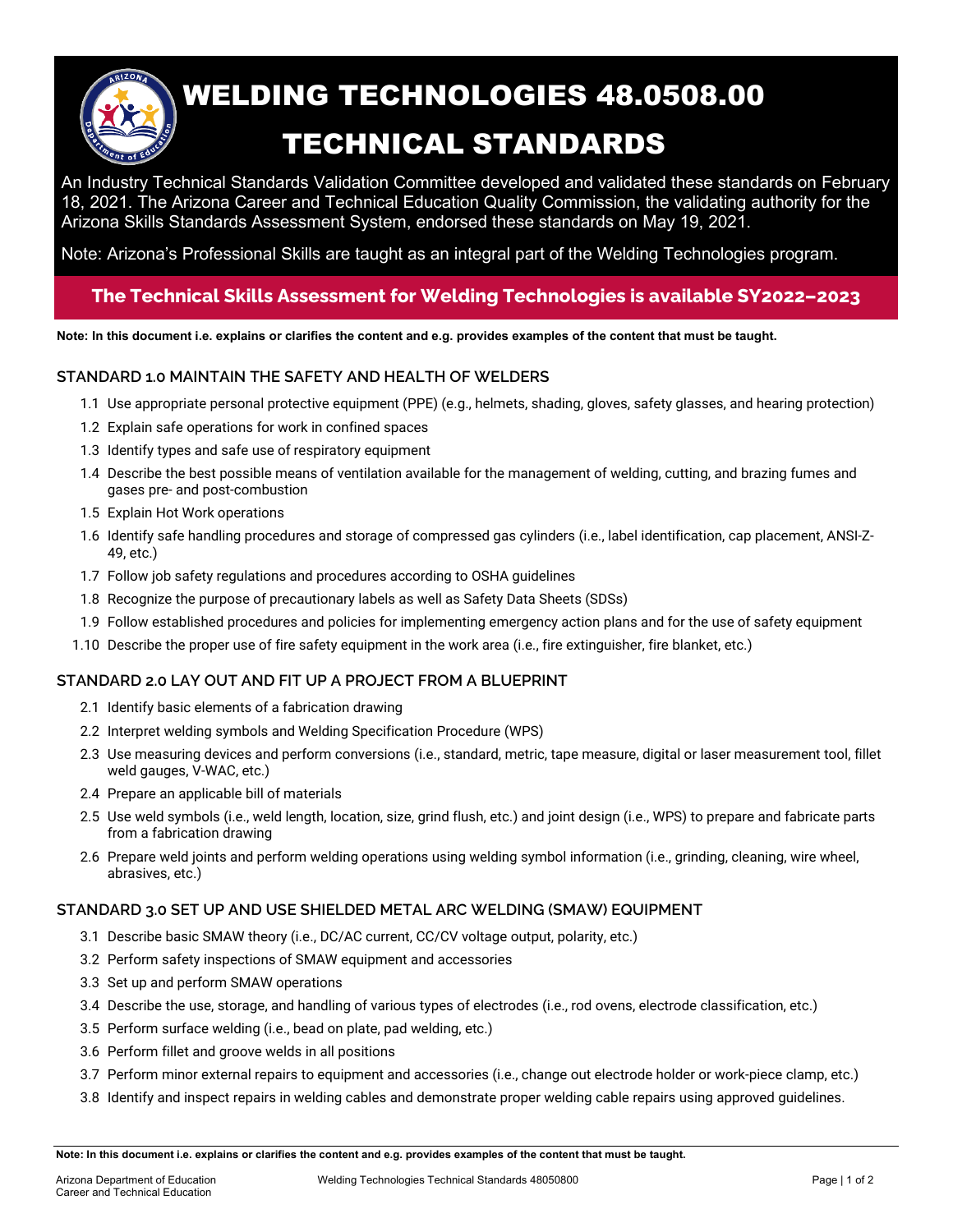

# WELDING TECHNOLOGIES 48.0508.00 TECHNICAL STANDARDS

An Industry Technical Standards Validation Committee developed and validated these standards on February 18, 2021. The Arizona Career and Technical Education Quality Commission, the validating authority for the Arizona Skills Standards Assessment System, endorsed these standards on May 19, 2021.

Note: Arizona's Professional Skills are taught as an integral part of the Welding Technologies program.

## **The Technical Skills Assessment for Welding Technologies is available SY2022–2023**

**Note: In this document i.e. explains or clarifies the content and e.g. provides examples of the content that must be taught.**

### **STANDARD 1.0 MAINTAIN THE SAFETY AND HEALTH OF WELDERS**

- 1.1 Use appropriate personal protective equipment (PPE) (e.g., helmets, shading, gloves, safety glasses, and hearing protection)
- 1.2 Explain safe operations for work in confined spaces
- 1.3 Identify types and safe use of respiratory equipment
- 1.4 Describe the best possible means of ventilation available for the management of welding, cutting, and brazing fumes and gases pre- and post-combustion
- 1.5 Explain Hot Work operations
- 1.6 Identify safe handling procedures and storage of compressed gas cylinders (i.e., label identification, cap placement, ANSI-Z-49, etc.)
- 1.7 Follow job safety regulations and procedures according to OSHA guidelines
- 1.8 Recognize the purpose of precautionary labels as well as Safety Data Sheets (SDSs)
- 1.9 Follow established procedures and policies for implementing emergency action plans and for the use of safety equipment
- 1.10 Describe the proper use of fire safety equipment in the work area (i.e., fire extinguisher, fire blanket, etc.)

#### **STANDARD 2.0 LAY OUT AND FIT UP A PROJECT FROM A BLUEPRINT**

- 2.1 Identify basic elements of a fabrication drawing
- 2.2 Interpret welding symbols and Welding Specification Procedure (WPS)
- 2.3 Use measuring devices and perform conversions (i.e., standard, metric, tape measure, digital or laser measurement tool, fillet weld gauges, V-WAC, etc.)
- 2.4 Prepare an applicable bill of materials
- 2.5 Use weld symbols (i.e., weld length, location, size, grind flush, etc.) and joint design (i.e., WPS) to prepare and fabricate parts from a fabrication drawing
- 2.6 Prepare weld joints and perform welding operations using welding symbol information (i.e., grinding, cleaning, wire wheel, abrasives, etc.)

#### **STANDARD 3.0 SET UP AND USE SHIELDED METAL ARC WELDING (SMAW) EQUIPMENT**

- 3.1 Describe basic SMAW theory (i.e., DC/AC current, CC/CV voltage output, polarity, etc.)
- 3.2 Perform safety inspections of SMAW equipment and accessories
- 3.3 Set up and perform SMAW operations
- 3.4 Describe the use, storage, and handling of various types of electrodes (i.e., rod ovens, electrode classification, etc.)
- 3.5 Perform surface welding (i.e., bead on plate, pad welding, etc.)
- 3.6 Perform fillet and groove welds in all positions
- 3.7 Perform minor external repairs to equipment and accessories (i.e., change out electrode holder or work-piece clamp, etc.)
- 3.8 Identify and inspect repairs in welding cables and demonstrate proper welding cable repairs using approved guidelines.